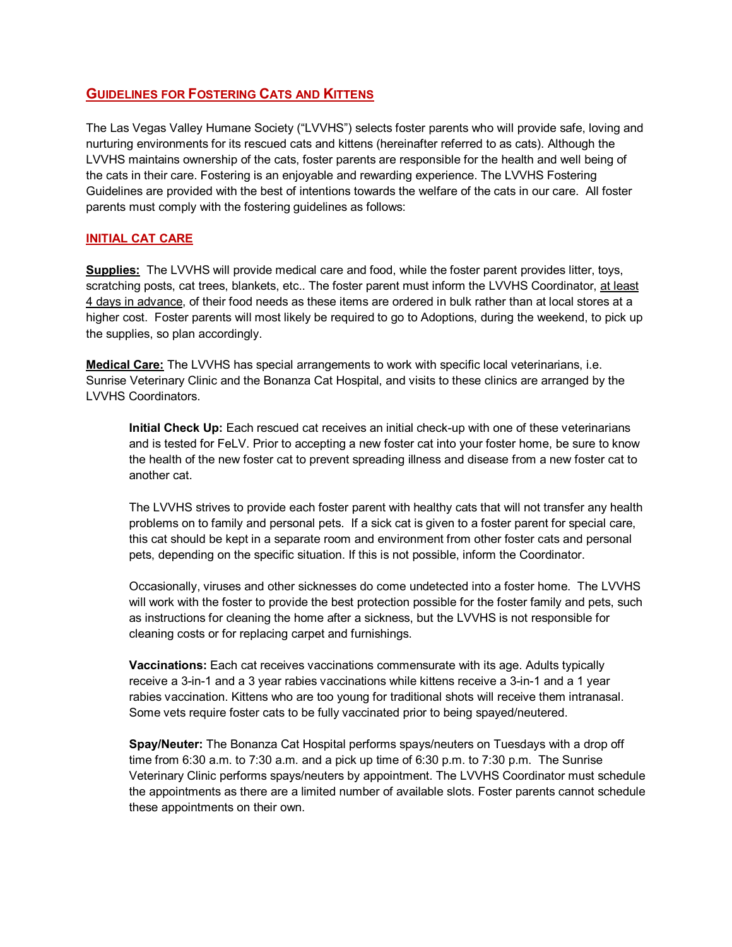## **GUIDELINES FOR FOSTERING CATS AND KITTENS**

The Las Vegas Valley Humane Society ("LVVHS") selects foster parents who will provide safe, loving and nurturing environments for its rescued cats and kittens (hereinafter referred to as cats). Although the LVVHS maintains ownership of the cats, foster parents are responsible for the health and well being of the cats in their care. Fostering is an enjoyable and rewarding experience. The LVVHS Fostering Guidelines are provided with the best of intentions towards the welfare of the cats in our care. All foster parents must comply with the fostering guidelines as follows:

## **INITIAL CAT CARE**

**Supplies:** The LVVHS will provide medical care and food, while the foster parent provides litter, toys, scratching posts, cat trees, blankets, etc.. The foster parent must inform the LVVHS Coordinator, at least 4 days in advance, of their food needs as these items are ordered in bulk rather than at local stores at a higher cost. Foster parents will most likely be required to go to Adoptions, during the weekend, to pick up the supplies, so plan accordingly.

**Medical Care:** The LVVHS has special arrangements to work with specific local veterinarians, i.e. Sunrise Veterinary Clinic and the Bonanza Cat Hospital, and visits to these clinics are arranged by the LVVHS Coordinators.

**Initial Check Up:** Each rescued cat receives an initial check-up with one of these veterinarians and is tested for FeLV. Prior to accepting a new foster cat into your foster home, be sure to know the health of the new foster cat to prevent spreading illness and disease from a new foster cat to another cat.

The LVVHS strives to provide each foster parent with healthy cats that will not transfer any health problems on to family and personal pets. If a sick cat is given to a foster parent for special care, this cat should be kept in a separate room and environment from other foster cats and personal pets, depending on the specific situation. If this is not possible, inform the Coordinator.

Occasionally, viruses and other sicknesses do come undetected into a foster home. The LVVHS will work with the foster to provide the best protection possible for the foster family and pets, such as instructions for cleaning the home after a sickness, but the LVVHS is not responsible for cleaning costs or for replacing carpet and furnishings.

**Vaccinations:** Each cat receives vaccinations commensurate with its age. Adults typically receive a 3-in-1 and a 3 year rabies vaccinations while kittens receive a 3-in-1 and a 1 year rabies vaccination. Kittens who are too young for traditional shots will receive them intranasal. Some vets require foster cats to be fully vaccinated prior to being spayed/neutered.

**Spay/Neuter:** The Bonanza Cat Hospital performs spays/neuters on Tuesdays with a drop off time from 6:30 a.m. to 7:30 a.m. and a pick up time of 6:30 p.m. to 7:30 p.m. The Sunrise Veterinary Clinic performs spays/neuters by appointment. The LVVHS Coordinator must schedule the appointments as there are a limited number of available slots. Foster parents cannot schedule these appointments on their own.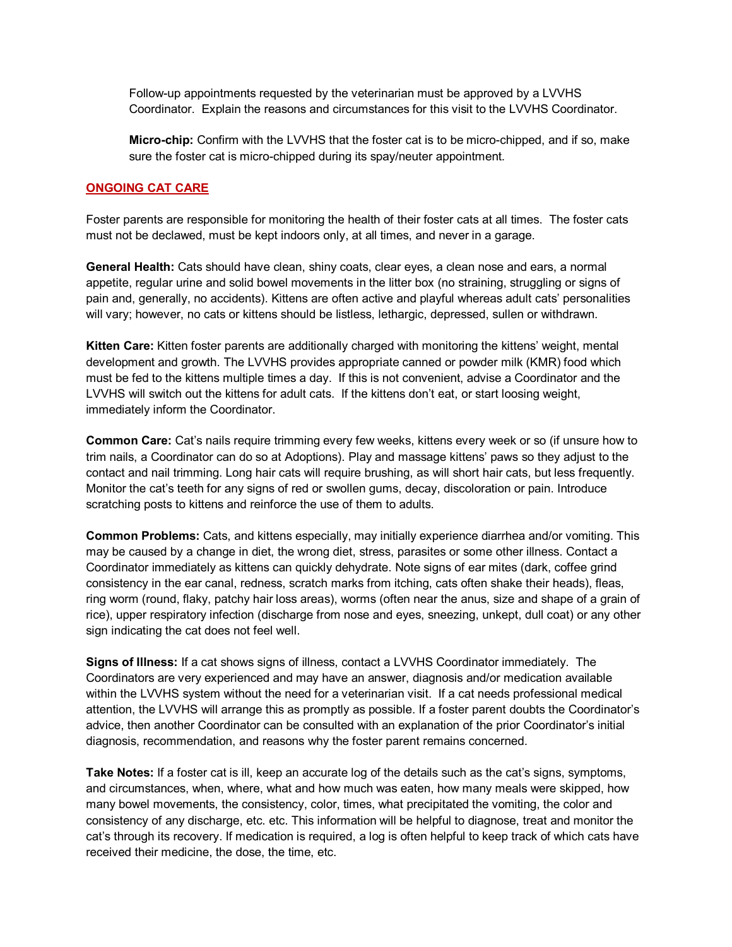Follow-up appointments requested by the veterinarian must be approved by a LVVHS Coordinator. Explain the reasons and circumstances for this visit to the LVVHS Coordinator.

**Micro-chip:** Confirm with the LVVHS that the foster cat is to be micro-chipped, and if so, make sure the foster cat is micro-chipped during its spay/neuter appointment.

## **ONGOING CAT CARE**

Foster parents are responsible for monitoring the health of their foster cats at all times. The foster cats must not be declawed, must be kept indoors only, at all times, and never in a garage.

**General Health:** Cats should have clean, shiny coats, clear eyes, a clean nose and ears, a normal appetite, regular urine and solid bowel movements in the litter box (no straining, struggling or signs of pain and, generally, no accidents). Kittens are often active and playful whereas adult cats' personalities will vary; however, no cats or kittens should be listless, lethargic, depressed, sullen or withdrawn.

**Kitten Care:** Kitten foster parents are additionally charged with monitoring the kittens' weight, mental development and growth. The LVVHS provides appropriate canned or powder milk (KMR) food which must be fed to the kittens multiple times a day. If this is not convenient, advise a Coordinator and the LVVHS will switch out the kittens for adult cats. If the kittens don't eat, or start loosing weight, immediately inform the Coordinator.

**Common Care:** Cat's nails require trimming every few weeks, kittens every week or so (if unsure how to trim nails, a Coordinator can do so at Adoptions). Play and massage kittens' paws so they adjust to the contact and nail trimming. Long hair cats will require brushing, as will short hair cats, but less frequently. Monitor the cat's teeth for any signs of red or swollen gums, decay, discoloration or pain. Introduce scratching posts to kittens and reinforce the use of them to adults.

**Common Problems:** Cats, and kittens especially, may initially experience diarrhea and/or vomiting. This may be caused by a change in diet, the wrong diet, stress, parasites or some other illness. Contact a Coordinator immediately as kittens can quickly dehydrate. Note signs of ear mites (dark, coffee grind consistency in the ear canal, redness, scratch marks from itching, cats often shake their heads), fleas, ring worm (round, flaky, patchy hair loss areas), worms (often near the anus, size and shape of a grain of rice), upper respiratory infection (discharge from nose and eyes, sneezing, unkept, dull coat) or any other sign indicating the cat does not feel well.

**Signs of Illness:** If a cat shows signs of illness, contact a LVVHS Coordinator immediately. The Coordinators are very experienced and may have an answer, diagnosis and/or medication available within the LVVHS system without the need for a veterinarian visit. If a cat needs professional medical attention, the LVVHS will arrange this as promptly as possible. If a foster parent doubts the Coordinator's advice, then another Coordinator can be consulted with an explanation of the prior Coordinator's initial diagnosis, recommendation, and reasons why the foster parent remains concerned.

**Take Notes:** If a foster cat is ill, keep an accurate log of the details such as the cat's signs, symptoms, and circumstances, when, where, what and how much was eaten, how many meals were skipped, how many bowel movements, the consistency, color, times, what precipitated the vomiting, the color and consistency of any discharge, etc. etc. This information will be helpful to diagnose, treat and monitor the cat's through its recovery. If medication is required, a log is often helpful to keep track of which cats have received their medicine, the dose, the time, etc.